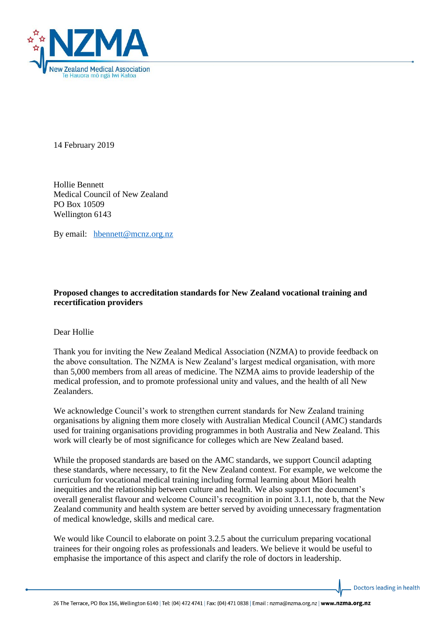

14 February 2019

Hollie Bennett Medical Council of New Zealand PO Box 10509 Wellington 6143

By email: [hbennett@mcnz.org.nz](mailto:hbennett@mcnz.org.nz)

## **Proposed changes to accreditation standards for New Zealand vocational training and recertification providers**

Dear Hollie

Thank you for inviting the New Zealand Medical Association (NZMA) to provide feedback on the above consultation. The NZMA is New Zealand's largest medical organisation, with more than 5,000 members from all areas of medicine. The NZMA aims to provide leadership of the medical profession, and to promote professional unity and values, and the health of all New Zealanders.

We acknowledge Council's work to strengthen current standards for New Zealand training organisations by aligning them more closely with Australian Medical Council (AMC) standards used for training organisations providing programmes in both Australia and New Zealand. This work will clearly be of most significance for colleges which are New Zealand based.

While the proposed standards are based on the AMC standards, we support Council adapting these standards, where necessary, to fit the New Zealand context. For example, we welcome the curriculum for vocational medical training including formal learning about Māori health inequities and the relationship between culture and health. We also support the document's overall generalist flavour and welcome Council's recognition in point 3.1.1, note b, that the New Zealand community and health system are better served by avoiding unnecessary fragmentation of medical knowledge, skills and medical care.

We would like Council to elaborate on point 3.2.5 about the curriculum preparing vocational trainees for their ongoing roles as professionals and leaders. We believe it would be useful to emphasise the importance of this aspect and clarify the role of doctors in leadership.

Doctors leading in health